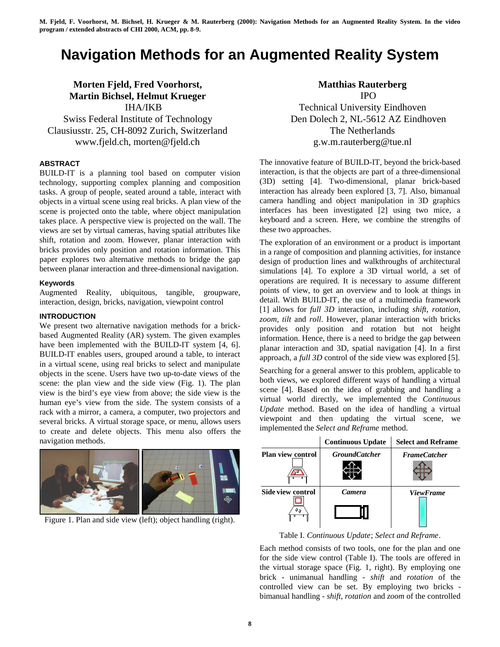# **Navigation Methods for an Augmented Reality System**

# **Morten Fjeld, Fred Voorhorst, Martin Bichsel, Helmut Krueger** IHA/IKB Swiss Federal Institute of Technology

Clausiusstr. 25, CH-8092 Zurich, Switzerland www.fjeld.ch, morten@fjeld.ch

# **ABSTRACT**

BUILD-IT is a planning tool based on computer vision technology, supporting complex planning and composition tasks. A group of people, seated around a table, interact with objects in a virtual scene using real bricks. A plan view of the scene is projected onto the table, where object manipulation takes place. A perspective view is projected on the wall. The views are set by virtual cameras, having spatial attributes like shift, rotation and zoom. However, planar interaction with bricks provides only position and rotation information. This paper explores two alternative methods to bridge the gap between planar interaction and three-dimensional navigation.

## **Keywords**

Augmented Reality, ubiquitous, tangible, groupware, interaction, design, bricks, navigation, viewpoint control

#### **INTRODUCTION**

We present two alternative navigation methods for a brickbased Augmented Reality (AR) system. The given examples have been implemented with the BUILD-IT system [4, 6]. BUILD-IT enables users, grouped around a table, to interact in a virtual scene, using real bricks to select and manipulate objects in the scene. Users have two up-to-date views of the scene: the plan view and the side view (Fig. 1). The plan view is the bird's eye view from above; the side view is the human eye's view from the side. The system consists of a rack with a mirror, a camera, a computer, two projectors and several bricks. A virtual storage space, or menu, allows users to create and delete objects. This menu also offers the navigation methods.



Figure 1. Plan and side view (left); object handling (right).

# **Matthias Rauterberg** IPO

Technical University Eindhoven Den Dolech 2, NL-5612 AZ Eindhoven The Netherlands g.w.m.rauterberg@tue.nl

The innovative feature of BUILD-IT, beyond the brick-based interaction, is that the objects are part of a three-dimensional (3D) setting [4]. Two-dimensional, planar brick-based interaction has already been explored [3, 7]. Also, bimanual camera handling and object manipulation in 3D graphics interfaces has been investigated [2] using two mice, a keyboard and a screen. Here, we combine the strengths of these two approaches.

The exploration of an environment or a product is important in a range of composition and planning activities, for instance design of production lines and walkthroughs of architectural simulations [4]. To explore a 3D virtual world, a set of operations are required. It is necessary to assume different points of view, to get an overview and to look at things in detail. With BUILD-IT, the use of a multimedia framework [1] allows for *full 3D* interaction, including *shift*, *rotation*, *zoom, tilt* and *roll*. However, planar interaction with bricks provides only position and rotation but not height information. Hence, there is a need to bridge the gap between planar interaction and 3D, spatial navigation [4]. In a first approach, a *full 3D* control of the side view was explored [5].

Searching for a general answer to this problem, applicable to both views, we explored different ways of handling a virtual scene [4]. Based on the idea of grabbing and handling a virtual world directly, we implemented the *Continuous Update* method. Based on the idea of handling a virtual viewpoint and then updating the virtual scene, we implemented the *Select and Reframe* method.

|                          | <b>Continuous Update</b> | <b>Select and Reframe</b> |
|--------------------------|--------------------------|---------------------------|
| <b>Plan view control</b> | <b>GroundCatcher</b>     | <b>FrameCatcher</b>       |
|                          |                          |                           |
| <b>Side view control</b> | <b>Camera</b>            | <b>ViewFrame</b>          |
| 90                       |                          |                           |

Table I. *Continuous Update*; *Select and Reframe*.

Each method consists of two tools, one for the plan and one for the side view control (Table I). The tools are offered in the virtual storage space (Fig. 1, right). By employing one brick - unimanual handling - *shift* and *rotation* of the controlled view can be set. By employing two bricks bimanual handling - *shift*, *rotation* and *zoom* of the controlled